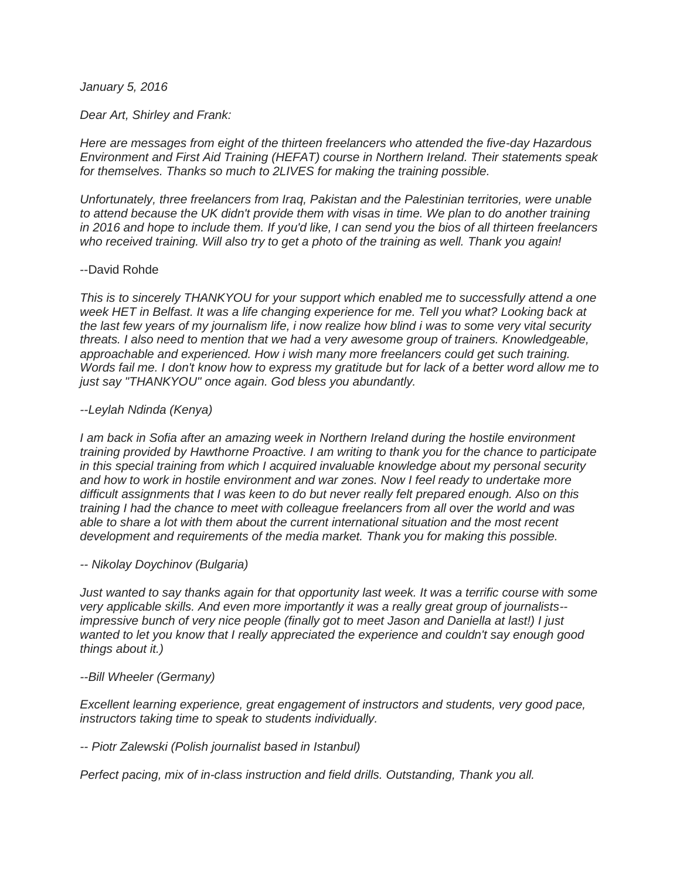# *January 5, 2016*

### *Dear Art, Shirley and Frank:*

*Here are messages from eight of the thirteen freelancers who attended the five-day Hazardous Environment and First Aid Training (HEFAT) course in Northern Ireland. Their statements speak for themselves. Thanks so much to 2LIVES for making the training possible.*

*Unfortunately, three freelancers from Iraq, Pakistan and the Palestinian territories, were unable to attend because the UK didn't provide them with visas in time. We plan to do another training in 2016 and hope to include them. If you'd like, I can send you the bios of all thirteen freelancers who received training. Will also try to get a photo of the training as well. Thank you again!*

#### --David Rohde

*This is to sincerely THANKYOU for your support which enabled me to successfully attend a one week HET in Belfast. It was a life changing experience for me. Tell you what? Looking back at the last few years of my journalism life, i now realize how blind i was to some very vital security threats. I also need to mention that we had a very awesome group of trainers. Knowledgeable, approachable and experienced. How i wish many more freelancers could get such training. Words fail me. I don't know how to express my gratitude but for lack of a better word allow me to just say "THANKYOU" once again. God bless you abundantly.*

#### *--Leylah Ndinda (Kenya)*

*I am back in Sofia after an amazing week in Northern Ireland during the hostile environment training provided by Hawthorne Proactive. I am writing to thank you for the chance to participate in this special training from which I acquired invaluable knowledge about my personal security and how to work in hostile environment and war zones. Now I feel ready to undertake more difficult assignments that I was keen to do but never really felt prepared enough. Also on this training I had the chance to meet with colleague freelancers from all over the world and was able to share a lot with them about the current international situation and the most recent development and requirements of the media market. Thank you for making this possible.*

# *-- Nikolay Doychinov (Bulgaria)*

*Just wanted to say thanks again for that opportunity last week. It was a terrific course with some very applicable skills. And even more importantly it was a really great group of journalists- impressive bunch of very nice people (finally got to meet Jason and Daniella at last!) I just wanted to let you know that I really appreciated the experience and couldn't say enough good things about it.)*

# *--Bill Wheeler (Germany)*

*Excellent learning experience, great engagement of instructors and students, very good pace, instructors taking time to speak to students individually.*

# *-- Piotr Zalewski (Polish journalist based in Istanbul)*

*Perfect pacing, mix of in-class instruction and field drills. Outstanding, Thank you all.*